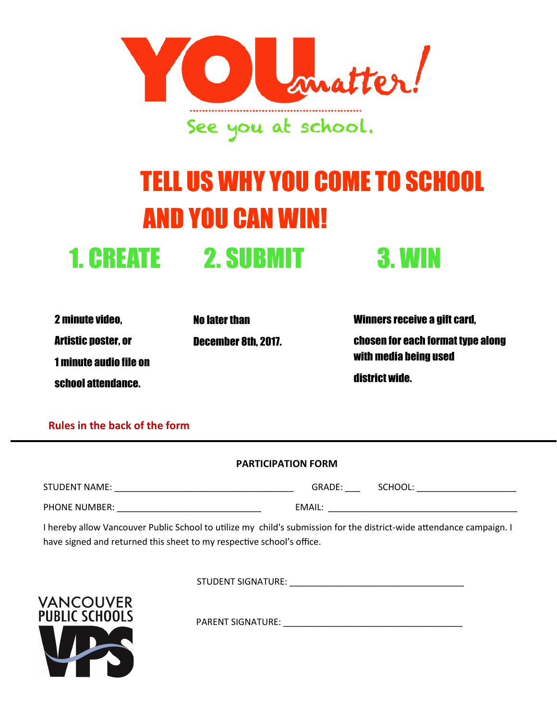

## TELL US WHY YOU COME TO SCHOOL AND YOU CAN WIN! 1. CREATE 2. SUBMIT 3. WIN

2 minute video, Artistic poster, or 1 minute audio file on school attendance.

No later than December 8th, 2017. Winners receive a gift card, chosen for each format type along with media being used district wide.

**Rules in the back of the form**

| <b>PARTICIPATION FORM</b> |        |         |
|---------------------------|--------|---------|
| STUDENT NAME:             | GRADE: | SCHOOL: |
| PHONE NUMBER:             | EMAIL: |         |

I hereby allow Vancouver Public School to utilize my child's submission for the district-wide attendance campaign. I have signed and returned this sheet to my respective school's office.

STUDENT SIGNATURE: \_\_\_\_\_\_\_\_\_\_\_\_\_\_\_\_\_\_\_\_\_\_\_\_\_\_\_\_\_\_\_\_\_\_\_



PARENT SIGNATURE: \_\_\_\_\_\_\_\_\_\_\_\_\_\_\_\_\_\_\_\_\_\_\_\_\_\_\_\_\_\_\_\_\_\_\_\_